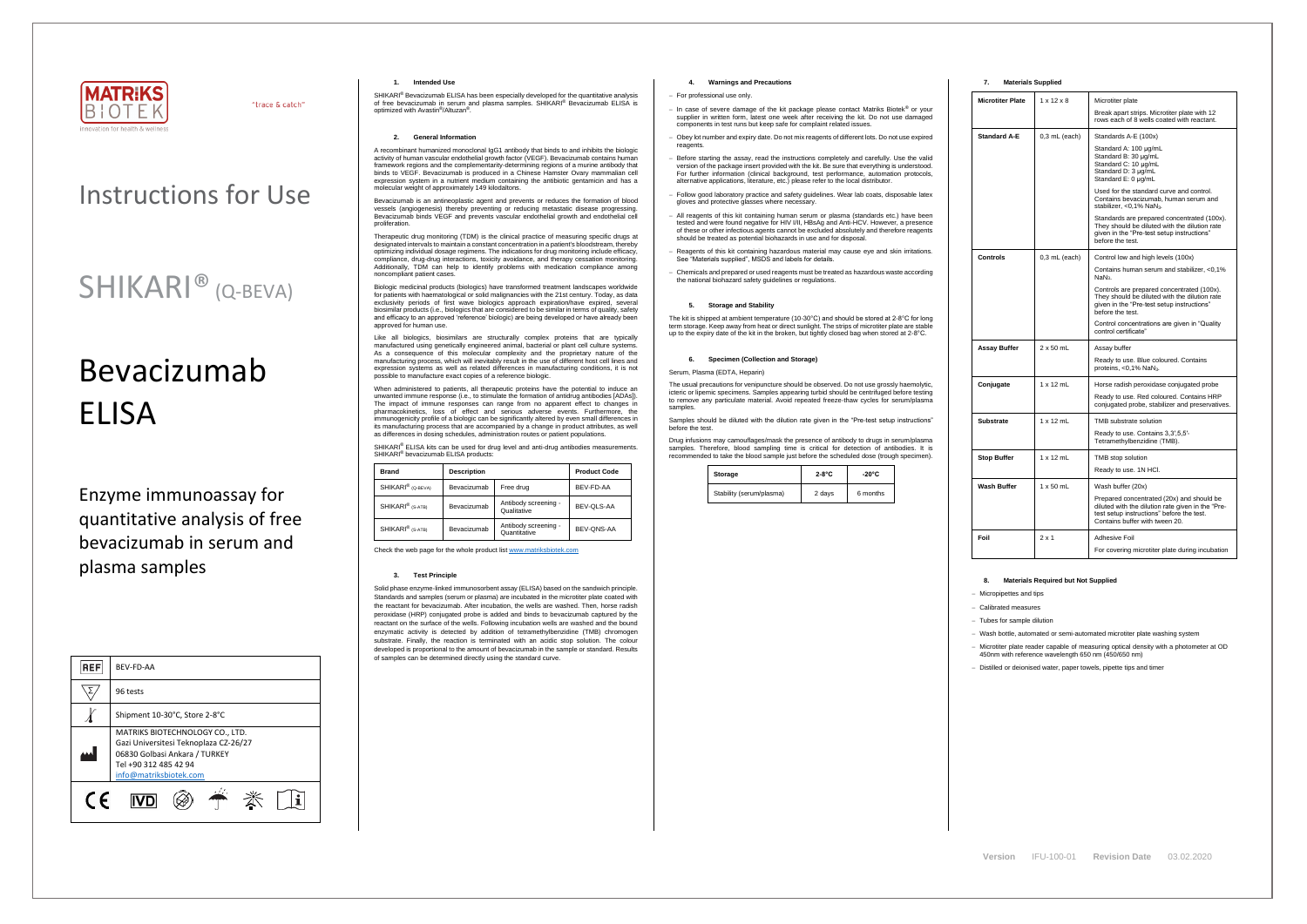

"trace & catch"

# Bevacizumab **FLISA**

# Instructions for Use

# SHIKARI® (Q-BEVA)

Enzyme immunoassay for quantitative analysis of free bevacizumab in serum and plasma samples

| <b>REF</b> | BEV-FD-AA                                                                                                                                                    |  |  |
|------------|--------------------------------------------------------------------------------------------------------------------------------------------------------------|--|--|
|            | 96 tests                                                                                                                                                     |  |  |
|            | Shipment 10-30°C, Store 2-8°C                                                                                                                                |  |  |
|            | MATRIKS BIOTECHNOLOGY CO., LTD.<br>Gazi Universitesi Teknoplaza CZ-26/27<br>06830 Golbasi Ankara / TURKEY<br>Tel +90 312 485 42 94<br>info@matriksbiotek.com |  |  |
| $\epsilon$ |                                                                                                                                                              |  |  |

SHIKARI® Bevacizumab ELISA has been especially developed for the quantitative analysis of free bevacizumab in serum and plasma samples. SHIKARI® Bevacizumab ELISA is optimized with Avastin ® /Altuzan® .

#### **1. Intended Use**

### **2. General Information**

A recombinant humanized monoclonal IgG1 antibody that binds to and inhibits the biologic activity of human vascular endothelial growth factor (VEGF). Bevacizumab contains human framework regions and the complementarity-determining regions of a murine antibody that binds to VEGF. Bevacizumab is produced in a Chinese Hamster Ovary mammalian cell expression system in a nutrient medium containing the antibiotic gentamicin and has a molecular weight of approximately 149 kilodaltons.

Bevacizumab is an antineoplastic agent and prevents or reduces the formation of blood vessels (angiogenesis) thereby preventing or reducing metastatic disease progressing. Bevacizumab binds VEGF and prevents vascular endothelial growth and endothelial cell proliferation.

Therapeutic drug monitoring (TDM) is the clinical practice of measuring specific drugs at designated intervals to maintain a constant concentration in a patient's bloodstream, thereby optimizing individual dosage regimens. The indications for drug monitoring include efficacy, compliance, drug-drug interactions, toxicity avoidance, and therapy cessation monitoring. Additionally, TDM can help to identify problems with medication compliance among noncompliant patient cases.

Biologic medicinal products (biologics) have transformed treatment landscapes worldwide for patients with haematological or solid malignancies with the 21st century. Today, as data exclusivity periods of first wave biologics approach expiration/have expired, several biosimilar products (i.e., biologics that are considered to be similar in terms of quality, safety and efficacy to an approved 'reference' biologic) are being developed or have already been approved for human use.

Like all biologics, biosimilars are structurally complex proteins that are typically manufactured using genetically engineered animal, bacterial or plant cell culture systems. As a consequence of this molecular complexity and the proprietary nature of the manufacturing process, which will inevitably result in the use of different host cell lines and expression systems as well as related differences in manufacturing conditions, it is not possible to manufacture exact copies of a reference biologic.

When administered to patients, all therapeutic proteins have the potential to induce an unwanted immune response (i.e., to stimulate the formation of antidrug antibodies [ADAs]). The impact of immune responses can range from no apparent effect to changes in pharmacokinetics, loss of effect and serious adverse events. Furthermore, the immunogenicity profile of a biologic can be significantly altered by even small differences in its manufacturing process that are accompanied by a change in product attributes, as well as differences in dosing schedules, administration routes or patient populations.

SHIKARI® ELISA kits can be used for drug level and anti-drug antibodies measurements. SHIKARI<sup>®</sup> bevacizumab ELISA products:

The usual precautions for venipuncture should be observed. Do not use grossly haemolytic, icteric or lipemic specimens. Samples appearing turbid should be centrifuged before testing to remove any particulate material. Avoid repeated freeze-thaw cycles for serum/plasma samples

| <b>Brand</b>                  | <b>Description</b> |                                      | <b>Product Code</b> |
|-------------------------------|--------------------|--------------------------------------|---------------------|
| SHIKARI <sup>®</sup> (Q-BEVA) | Bevacizumab        | Free drug                            | BEV-FD-AA           |
| SHIKARI <sup>®</sup> (S-ATB)  | Bevacizumab        | Antibody screening -<br>Qualitative  | BEV-OLS-AA          |
| SHIKARI <sup>®</sup> (S-ATB)  | Bevacizumab        | Antibody screening -<br>Quantitative | BEV-ONS-AA          |

Check the web page for the whole product lis[t www.matriksbiotek.com](http://www.matriksbiotek.com/)

#### **3. Test Principle**

Solid phase enzyme-linked immunosorbent assay (ELISA) based on the sandwich principle. Standards and samples (serum or plasma) are incubated in the microtiter plate coated with the reactant for bevacizumab. After incubation, the wells are washed. Then, horse radish peroxidase (HRP) conjugated probe is added and binds to bevacizumab captured by the reactant on the surface of the wells. Following incubation wells are washed and the bound enzymatic activity is detected by addition of tetramethylbenzidine (TMB) chromogen substrate. Finally, the reaction is terminated with an acidic stop solution. The colour developed is proportional to the amount of bevacizumab in the sample or standard. Results of samples can be determined directly using the standard curve.

# **4. Warnings and Precautions**

#### − For professional use only.

- − In case of severe damage of the kit package please contact Matriks Biotek® or your supplier in written form, latest one week after receiving the kit. Do not use damaged components in test runs but keep safe for complaint related issues.
- Obey lot number and expiry date. Do not mix reagents of different lots. Do not use expired reagents
- − Before starting the assay, read the instructions completely and carefully. Use the valid version of the package insert provided with the kit. Be sure that everything is understood. For further information (clinical background, test performance, automation protocols, alternative applications, literature, etc.) please refer to the local distributor.
- − Follow good laboratory practice and safety guidelines. Wear lab coats, disposable latex gloves and protective glasses where necessary.
- All reagents of this kit containing human serum or plasma (standards etc.) have been tested and were found negative for HIV I/II, HBsAg and Anti-HCV. However, a presence of these or other infectious agents cannot be excluded absolutely and therefore reagents should be treated as potential biohazards in use and for disposal.
- − Reagents of this kit containing hazardous material may cause eye and skin irritations. See "Materials supplied", MSDS and labels for details.
- − Chemicals and prepared or used reagents must be treated as hazardous waste according the national biohazard safety guidelines or regulations.

# **5. Storage and Stability**

The kit is shipped at ambient temperature (10-30°C) and should be stored at 2-8°C for long term storage. Keep away from heat or direct sunlight. The strips of microtiter plate are stable up to the expiry date of the kit in the broken, but tightly closed bag when stored at 2-8°C.

#### **6. Specimen (Collection and Storage)**

#### Serum, Plasma (EDTA, Heparin)

Samples should be diluted with the dilution rate given in the "Pre-test setup instructions" before the test.

Drug infusions may camouflages/mask the presence of antibody to drugs in serum/plasma samples. Therefore, blood sampling time is critical for detection of antibodies. It is recommended to take the blood sample just before the scheduled dose (trough specimen).

| Storage                  | $2-8$ °C | $-20^{\circ}$ C |
|--------------------------|----------|-----------------|
| Stability (serum/plasma) | 2 days   | 6 months        |

# **7. Materials Supplied**

| <b>Microtiter Plate</b> | $1 \times 12 \times 8$ | Microtiter plate                                                                                                                                                              |  |  |
|-------------------------|------------------------|-------------------------------------------------------------------------------------------------------------------------------------------------------------------------------|--|--|
|                         |                        | Break apart strips. Microtiter plate with 12<br>rows each of 8 wells coated with reactant.                                                                                    |  |  |
| <b>Standard A-E</b>     | $0,3$ mL (each)        | Standards A-E (100x)                                                                                                                                                          |  |  |
|                         |                        | Standard A: 100 µg/mL<br>Standard B: 30 µg/mL<br>Standard C: 10 µg/mL<br>Standard D: 3 µg/mL<br>Standard E: 0 µg/mL                                                           |  |  |
|                         |                        | Used for the standard curve and control.<br>Contains bevacizumab, human serum and<br>stabilizer, <0,1% NaN <sub>3</sub> .                                                     |  |  |
|                         |                        | Standards are prepared concentrated (100x).<br>They should be diluted with the dilution rate<br>given in the "Pre-test setup instructions"<br>before the test.                |  |  |
| Controls                | $0,3$ mL (each)        | Control low and high levels (100x)                                                                                                                                            |  |  |
|                         |                        | Contains human serum and stabilizer, <0,1%<br>NaN <sub>3</sub> .                                                                                                              |  |  |
|                         |                        | Controls are prepared concentrated (100x).<br>They should be diluted with the dilution rate<br>given in the "Pre-test setup instructions"<br>before the test.                 |  |  |
|                         |                        | Control concentrations are given in "Quality<br>control certificate"                                                                                                          |  |  |
| <b>Assay Buffer</b>     | $2 \times 50$ mL       | Assay buffer                                                                                                                                                                  |  |  |
|                         |                        | Ready to use. Blue coloured. Contains<br>proteins, <0,1% NaN <sub>3</sub> .                                                                                                   |  |  |
| Conjugate               | $1 \times 12$ mL       | Horse radish peroxidase conjugated probe                                                                                                                                      |  |  |
|                         |                        | Ready to use. Red coloured. Contains HRP<br>conjugated probe, stabilizer and preservatives.                                                                                   |  |  |
| <b>Substrate</b>        | $1 \times 12$ mL       | TMB substrate solution                                                                                                                                                        |  |  |
|                         |                        | Ready to use. Contains 3,3',5,5'-<br>Tetramethylbenzidine (TMB).                                                                                                              |  |  |
| <b>Stop Buffer</b>      | $1 \times 12$ mL       | TMB stop solution                                                                                                                                                             |  |  |
|                         |                        | Ready to use. 1N HCl.                                                                                                                                                         |  |  |
| Wash Buffer             | $1 \times 50$ mL       | Wash buffer (20x)                                                                                                                                                             |  |  |
|                         |                        | Prepared concentrated (20x) and should be<br>diluted with the dilution rate given in the "Pre-<br>test setup instructions" before the test.<br>Contains buffer with tween 20. |  |  |
| Foil                    | $2 \times 1$           | Adhesive Foil                                                                                                                                                                 |  |  |
|                         |                        | For covering microtiter plate during incubation                                                                                                                               |  |  |

# **8. Materials Required but Not Supplied**

− Micropipettes and tips

− Calibrated measures

− Tubes for sample dilution

− Wash bottle, automated or semi-automated microtiter plate washing system

− Microtiter plate reader capable of measuring optical density with a photometer at OD 450nm with reference wavelength 650 nm (450/650 nm)

− Distilled or deionised water, paper towels, pipette tips and timer